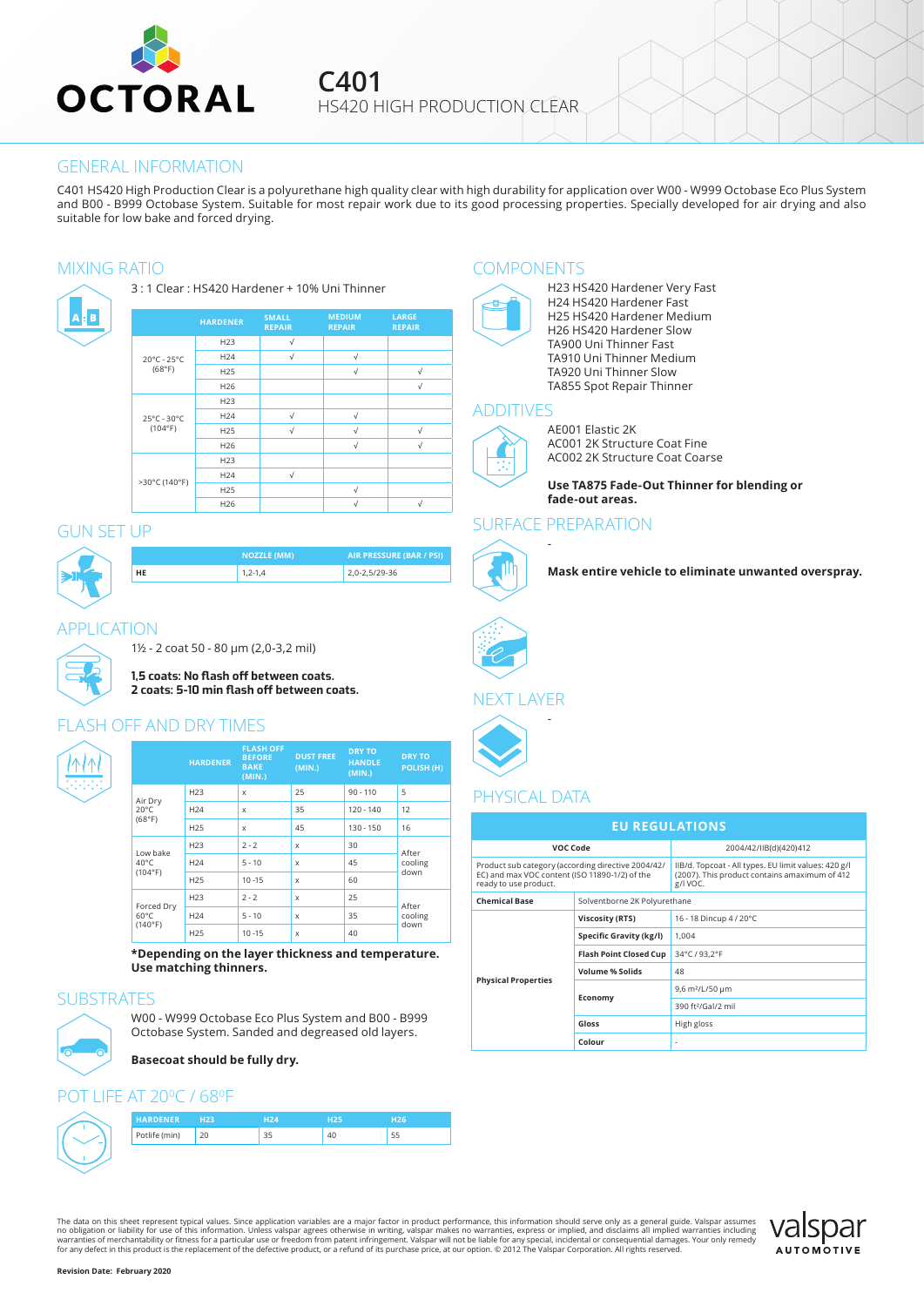

**C401** HS420 HIGH PRODUCTION CLEAR

#### GENERAL INFORMATION

C401 HS420 High Production Clear is a polyurethane high quality clear with high durability for application over W00 - W999 Octobase Eco Plus System and B00 - B999 Octobase System. Suitable for most repair work due to its good processing properties. Specially developed for air drying and also suitable for low bake and forced drying.

A <mark>B</mark> B



# GUN SET UP



**NOZZLE (MM) AIR PRESSURE (BAR / PSI) HE** 1,2-1,4 2,0-2,5/29-36

## APPLICATION



1½ - 2 coat 50 - 80 μm (2,0-3,2 mil)

**1,5 coats: No flash off between coats.** 

**2 coats: 5-10 min flash off between coats.**

**FLASH OFF**

# **ASH OFF AND DRY TIMES**



|                                         | <b>HARDENER</b> | <b>BEFORE</b><br><b>BAKE</b><br>(MIN.) | <b>DUST FREE</b><br>(MIN.) | <b>HANDLE</b><br>(MIN.) | <b>DRY TO</b><br>POLISH (H) |
|-----------------------------------------|-----------------|----------------------------------------|----------------------------|-------------------------|-----------------------------|
| Air Dry<br>$20^{\circ}$ C<br>(68°F)     | H <sub>23</sub> | X                                      | 25                         | $90 - 110$              | 5                           |
|                                         | H <sub>24</sub> | X                                      | 35                         | $120 - 140$             | 12                          |
|                                         | H <sub>25</sub> | X                                      | 45                         | $130 - 150$             | 16                          |
| Low bake<br>$40^{\circ}$ C<br>(104°F)   | H <sub>23</sub> | $2 - 2$                                | x                          | 30                      | After<br>cooling<br>down    |
|                                         | H <sub>24</sub> | $5 - 10$                               | X                          | 45                      |                             |
|                                         | H <sub>25</sub> | $10 - 15$                              | x                          | 60                      |                             |
| Forced Dry<br>$60^{\circ}$ C<br>(140°F) | H <sub>23</sub> | $2 - 2$                                | x                          | 25                      | After<br>cooling<br>down    |
|                                         | H <sub>24</sub> | $5 - 10$                               | $\mathbf x$                | 35                      |                             |
|                                         | H <sub>25</sub> | $10 - 15$                              | $\boldsymbol{\mathsf{x}}$  | 40                      |                             |

**DRY TO**

**\*Depending on the layer thickness and temperature. Use matching thinners.**

# **SUBSTRATES**

W00 - W999 Octobase Eco Plus System and B00 - B999 Octobase System. Sanded and degreased old layers.

**Basecoat should be fully dry.**

## **I IFF AT 20°C / 68°F**

| <b>HARDENER</b> | 23 |    | ロつち | วค |
|-----------------|----|----|-----|----|
| Potlife (min)   |    | 35 |     |    |

The data on this sheet represent typical values. Since application variables are a major factor in product performance, this information should serve only as a general guide. Valspar assumes<br>no obligation or liability for



## MIXING RATIO COMPONENTS



H23 HS420 Hardener Very Fast H24 HS420 Hardener Fast H25 HS420 Hardener Medium H26 HS420 Hardener Slow TA900 Uni Thinner Fast TA910 Uni Thinner Medium TA920 Uni Thinner Slow TA855 Spot Repair Thinner

## ADDITIVES



AE001 Elastic 2K AC001 2K Structure Coat Fine AC002 2K Structure Coat Coarse

**Use TA875 Fade-Out Thinner for blending or fade-out areas.**

#### SURFACE PREPARATION

-



**Mask entire vehicle to eliminate unwanted overspray.**

## NEXT LAYER

-



# PHYSICAL DATA

| <b>EU REGULATIONS</b>                                                                                                         |                               |                                                                                                                   |  |  |  |  |  |
|-------------------------------------------------------------------------------------------------------------------------------|-------------------------------|-------------------------------------------------------------------------------------------------------------------|--|--|--|--|--|
| VOC Code                                                                                                                      |                               | 2004/42/IIB(d)(420)412                                                                                            |  |  |  |  |  |
| Product sub category (according directive 2004/42/<br>EC) and max VOC content (ISO 11890-1/2) of the<br>ready to use product. |                               | IIB/d. Topcoat - All types. EU limit values: 420 g/l<br>(2007). This product contains amaximum of 412<br>g/l VOC. |  |  |  |  |  |
| <b>Chemical Base</b><br>Solventborne 2K Polyurethane                                                                          |                               |                                                                                                                   |  |  |  |  |  |
|                                                                                                                               | Viscosity (RTS)               | 16 - 18 Dincup 4 / 20°C                                                                                           |  |  |  |  |  |
|                                                                                                                               | Specific Gravity (kg/l)       | 1.004                                                                                                             |  |  |  |  |  |
|                                                                                                                               | <b>Flash Point Closed Cup</b> | 34°C / 93.2°F                                                                                                     |  |  |  |  |  |
|                                                                                                                               | <b>Volume % Solids</b>        | 48                                                                                                                |  |  |  |  |  |
| <b>Physical Properties</b>                                                                                                    |                               | 9,6 m <sup>2</sup> /L/50 µm                                                                                       |  |  |  |  |  |
|                                                                                                                               | Economy                       | 390 ft <sup>2</sup> /Gal/2 mil                                                                                    |  |  |  |  |  |
|                                                                                                                               | Gloss                         | High gloss                                                                                                        |  |  |  |  |  |
|                                                                                                                               | Colour                        | $\overline{a}$                                                                                                    |  |  |  |  |  |